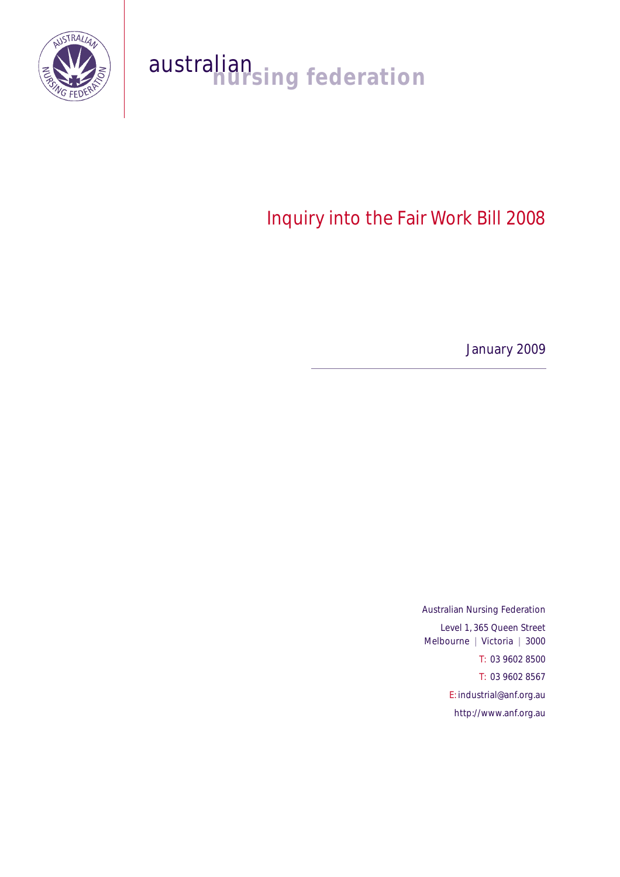

# australian<br>nursing federation

# Inquiry into the Fair Work Bill 2008

January 2009

Australian Nursing Federation Level 1, 365 Queen Street Melbourne | Victoria | 3000 T: 03 9602 8500 T: 03 9602 8567 E: industrial@anf.org.au http://www.anf.org.au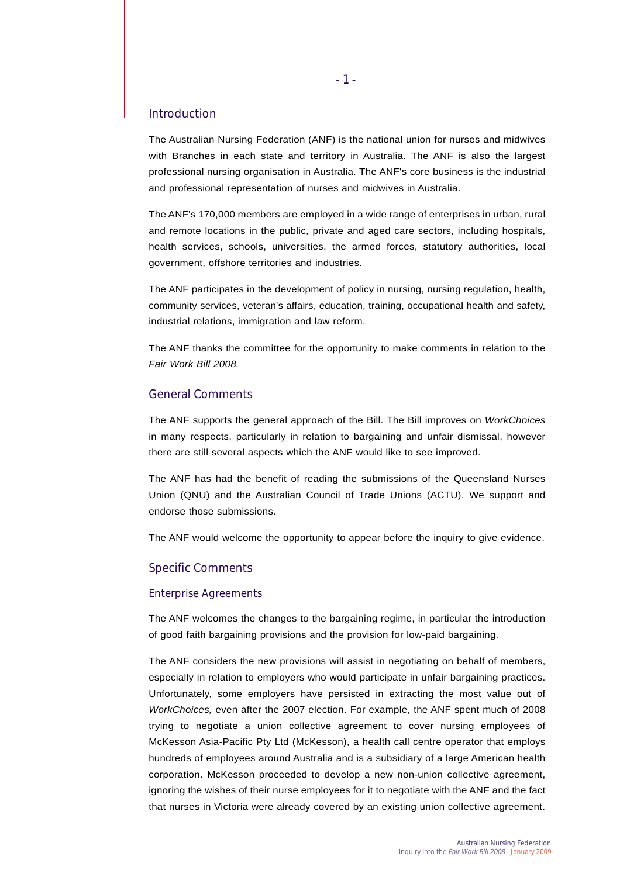#### Introduction

The Australian Nursing Federation (ANF) is the national union for nurses and midwives with Branches in each state and territory in Australia. The ANF is also the largest professional nursing organisation in Australia. The ANF's core business is the industrial and professional representation of nurses and midwives in Australia.

The ANF's 170,000 members are employed in a wide range of enterprises in urban, rural and remote locations in the public, private and aged care sectors, including hospitals, health services, schools, universities, the armed forces, statutory authorities, local government, offshore territories and industries.

The ANF participates in the development of policy in nursing, nursing regulation, health, community services, veteran's affairs, education, training, occupational health and safety, industrial relations, immigration and law reform.

The ANF thanks the committee for the opportunity to make comments in relation to the *Fair Work Bill 2008.*

## General Comments

The ANF supports the general approach of the Bill. The Bill improves on *WorkChoices* in many respects, particularly in relation to bargaining and unfair dismissal, however there are still several aspects which the ANF would like to see improved.

The ANF has had the benefit of reading the submissions of the Queensland Nurses Union (QNU) and the Australian Council of Trade Unions (ACTU). We support and endorse those submissions.

The ANF would welcome the opportunity to appear before the inquiry to give evidence.

### Specific Comments

#### Enterprise Agreements

The ANF welcomes the changes to the bargaining regime, in particular the introduction of good faith bargaining provisions and the provision for low-paid bargaining.

The ANF considers the new provisions will assist in negotiating on behalf of members, especially in relation to employers who would participate in unfair bargaining practices. Unfortunately, some employers have persisted in extracting the most value out of *WorkChoices,* even after the 2007 election. For example, the ANF spent much of 2008 trying to negotiate a union collective agreement to cover nursing employees of McKesson Asia-Pacific Pty Ltd (McKesson), a health call centre operator that employs hundreds of employees around Australia and is a subsidiary of a large American health corporation. McKesson proceeded to develop a new non-union collective agreement, ignoring the wishes of their nurse employees for it to negotiate with the ANF and the fact that nurses in Victoria were already covered by an existing union collective agreement.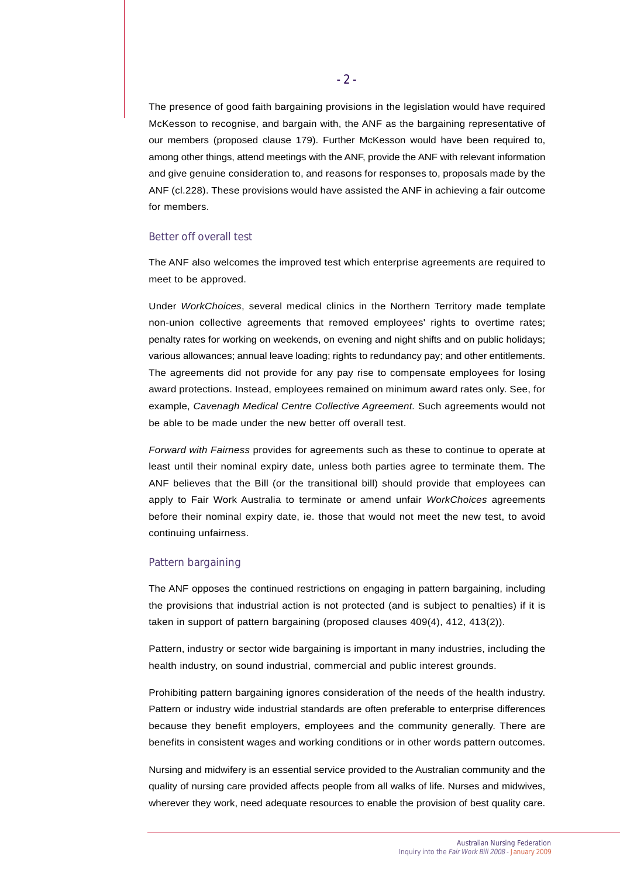The presence of good faith bargaining provisions in the legislation would have required McKesson to recognise, and bargain with, the ANF as the bargaining representative of our members (proposed clause 179). Further McKesson would have been required to, among other things, attend meetings with the ANF, provide the ANF with relevant information and give genuine consideration to, and reasons for responses to, proposals made by the ANF (cl.228). These provisions would have assisted the ANF in achieving a fair outcome for members.

#### Better off overall test

The ANF also welcomes the improved test which enterprise agreements are required to meet to be approved.

Under *WorkChoices*, several medical clinics in the Northern Territory made template non-union collective agreements that removed employees' rights to overtime rates; penalty rates for working on weekends, on evening and night shifts and on public holidays; various allowances; annual leave loading; rights to redundancy pay; and other entitlements. The agreements did not provide for any pay rise to compensate employees for losing award protections. Instead, employees remained on minimum award rates only. See, for example, *Cavenagh Medical Centre Collective Agreement.* Such agreements would not be able to be made under the new better off overall test.

*Forward with Fairness* provides for agreements such as these to continue to operate at least until their nominal expiry date, unless both parties agree to terminate them. The ANF believes that the Bill (or the transitional bill) should provide that employees can apply to Fair Work Australia to terminate or amend unfair *WorkChoices* agreements before their nominal expiry date, ie. those that would not meet the new test, to avoid continuing unfairness.

#### Pattern bargaining

The ANF opposes the continued restrictions on engaging in pattern bargaining, including the provisions that industrial action is not protected (and is subject to penalties) if it is taken in support of pattern bargaining (proposed clauses 409(4), 412, 413(2)).

Pattern, industry or sector wide bargaining is important in many industries, including the health industry, on sound industrial, commercial and public interest grounds.

Prohibiting pattern bargaining ignores consideration of the needs of the health industry. Pattern or industry wide industrial standards are often preferable to enterprise differences because they benefit employers, employees and the community generally. There are benefits in consistent wages and working conditions or in other words pattern outcomes.

Nursing and midwifery is an essential service provided to the Australian community and the quality of nursing care provided affects people from all walks of life. Nurses and midwives, wherever they work, need adequate resources to enable the provision of best quality care.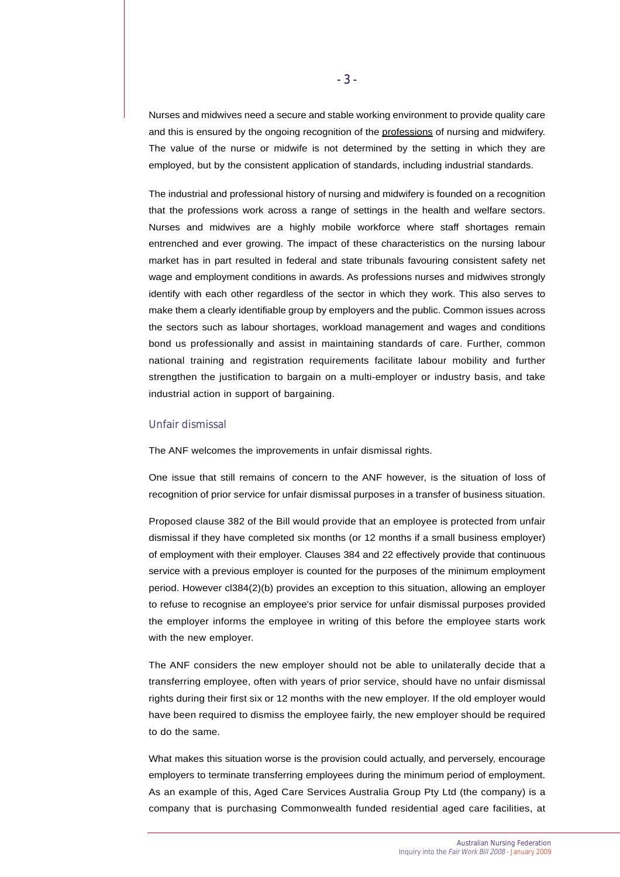Nurses and midwives need a secure and stable working environment to provide quality care and this is ensured by the ongoing recognition of the professions of nursing and midwifery. The value of the nurse or midwife is not determined by the setting in which they are employed, but by the consistent application of standards, including industrial standards.

The industrial and professional history of nursing and midwifery is founded on a recognition that the professions work across a range of settings in the health and welfare sectors. Nurses and midwives are a highly mobile workforce where staff shortages remain entrenched and ever growing. The impact of these characteristics on the nursing labour market has in part resulted in federal and state tribunals favouring consistent safety net wage and employment conditions in awards. As professions nurses and midwives strongly identify with each other regardless of the sector in which they work. This also serves to make them a clearly identifiable group by employers and the public. Common issues across the sectors such as labour shortages, workload management and wages and conditions bond us professionally and assist in maintaining standards of care. Further, common national training and registration requirements facilitate labour mobility and further strengthen the justification to bargain on a multi-employer or industry basis, and take industrial action in support of bargaining.

#### Unfair dismissal

The ANF welcomes the improvements in unfair dismissal rights.

One issue that still remains of concern to the ANF however, is the situation of loss of recognition of prior service for unfair dismissal purposes in a transfer of business situation.

Proposed clause 382 of the Bill would provide that an employee is protected from unfair dismissal if they have completed six months (or 12 months if a small business employer) of employment with their employer. Clauses 384 and 22 effectively provide that continuous service with a previous employer is counted for the purposes of the minimum employment period. However cl384(2)(b) provides an exception to this situation, allowing an employer to refuse to recognise an employee's prior service for unfair dismissal purposes provided the employer informs the employee in writing of this before the employee starts work with the new employer.

The ANF considers the new employer should not be able to unilaterally decide that a transferring employee, often with years of prior service, should have no unfair dismissal rights during their first six or 12 months with the new employer. If the old employer would have been required to dismiss the employee fairly, the new employer should be required to do the same.

What makes this situation worse is the provision could actually, and perversely, encourage employers to terminate transferring employees during the minimum period of employment. As an example of this, Aged Care Services Australia Group Pty Ltd (the company) is a company that is purchasing Commonwealth funded residential aged care facilities, at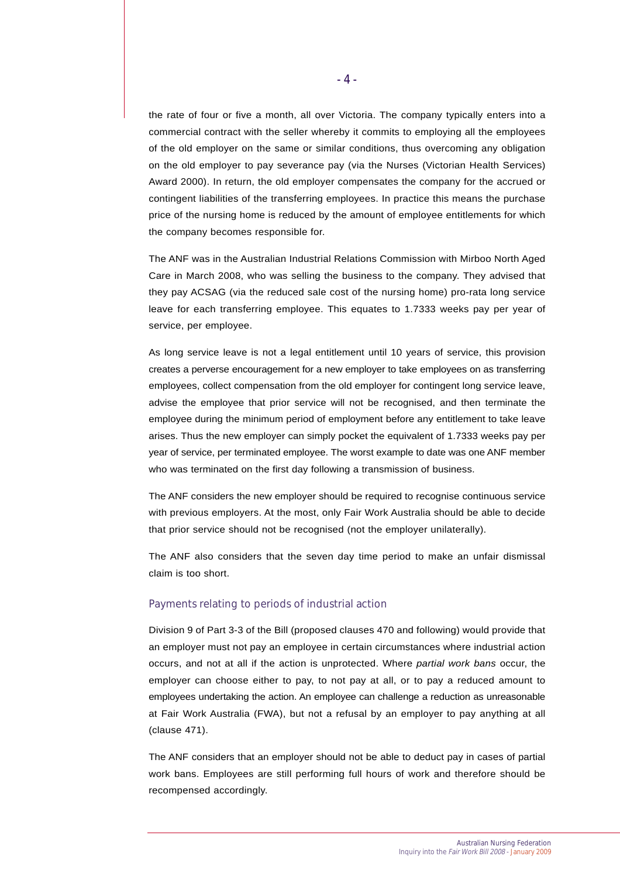the rate of four or five a month, all over Victoria. The company typically enters into a commercial contract with the seller whereby it commits to employing all the employees of the old employer on the same or similar conditions, thus overcoming any obligation on the old employer to pay severance pay (via the Nurses (Victorian Health Services) Award 2000). In return, the old employer compensates the company for the accrued or contingent liabilities of the transferring employees. In practice this means the purchase price of the nursing home is reduced by the amount of employee entitlements for which the company becomes responsible for.

The ANF was in the Australian Industrial Relations Commission with Mirboo North Aged Care in March 2008, who was selling the business to the company. They advised that they pay ACSAG (via the reduced sale cost of the nursing home) pro-rata long service leave for each transferring employee. This equates to 1.7333 weeks pay per year of service, per employee.

As long service leave is not a legal entitlement until 10 years of service, this provision creates a perverse encouragement for a new employer to take employees on as transferring employees, collect compensation from the old employer for contingent long service leave, advise the employee that prior service will not be recognised, and then terminate the employee during the minimum period of employment before any entitlement to take leave arises. Thus the new employer can simply pocket the equivalent of 1.7333 weeks pay per year of service, per terminated employee. The worst example to date was one ANF member who was terminated on the first day following a transmission of business.

The ANF considers the new employer should be required to recognise continuous service with previous employers. At the most, only Fair Work Australia should be able to decide that prior service should not be recognised (not the employer unilaterally).

The ANF also considers that the seven day time period to make an unfair dismissal claim is too short.

#### Payments relating to periods of industrial action

Division 9 of Part 3-3 of the Bill (proposed clauses 470 and following) would provide that an employer must not pay an employee in certain circumstances where industrial action occurs, and not at all if the action is unprotected. Where *partial work bans* occur, the employer can choose either to pay, to not pay at all, or to pay a reduced amount to employees undertaking the action. An employee can challenge a reduction as unreasonable at Fair Work Australia (FWA), but not a refusal by an employer to pay anything at all (clause 471).

The ANF considers that an employer should not be able to deduct pay in cases of partial work bans. Employees are still performing full hours of work and therefore should be recompensed accordingly.